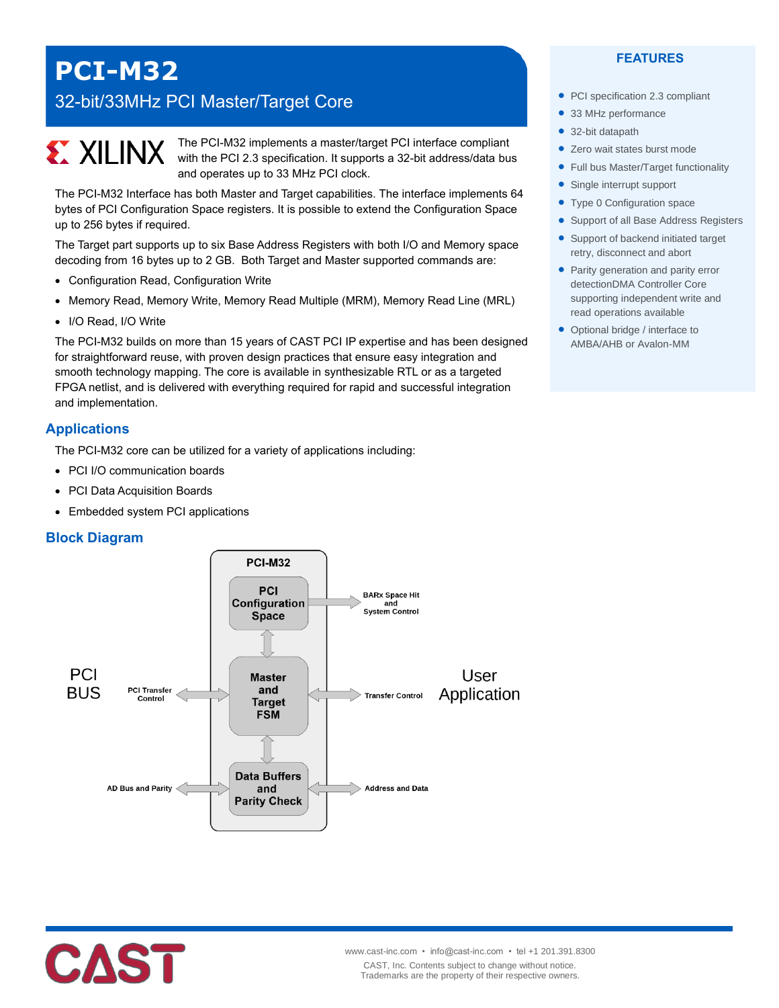## **PCI-M32**

### 32-bit/33MHz PCI Master/Target Core

# **EXALINX**

The PCI-M32 implements a master/target PCI interface compliant with the PCI 2.3 specification. It supports a 32-bit address/data bus and operates up to 33 MHz PCI clock.

The PCI-M32 Interface has both Master and Target capabilities. The interface implements 64 bytes of PCI Configuration Space registers. It is possible to extend the Configuration Space up to 256 bytes if required.

The Target part supports up to six Base Address Registers with both I/O and Memory space decoding from 16 bytes up to 2 GB. Both Target and Master supported commands are:

- Configuration Read, Configuration Write
- Memory Read, Memory Write, Memory Read Multiple (MRM), Memory Read Line (MRL)
- I/O Read, I/O Write

The PCI-M32 builds on more than 15 years of CAST PCI IP expertise and has been designed for straightforward reuse, with proven design practices that ensure easy integration and smooth technology mapping. The core is available in synthesizable RTL or as a targeted FPGA netlist, and is delivered with everything required for rapid and successful integration and implementation.

#### **Applications**

The PCI-M32 core can be utilized for a variety of applications including:

- PCI I/O communication boards
- PCI Data Acquisition Boards
- Embedded system PCI applications

#### **Block Diagram**





#### **FEATURES**

- PCI specification 2.3 compliant
- 33 MHz performance
- 32-bit datapath
- Zero wait states burst mode
- Full bus Master/Target functionality
- Single interrupt support
- Type 0 Configuration space
- Support of all Base Address Registers
- Support of backend initiated target retry, disconnect and abort
- Parity generation and parity error detectionDMA Controller Core supporting independent write and read operations available
- Optional bridge / interface to AMBA/AHB or Avalon-MM